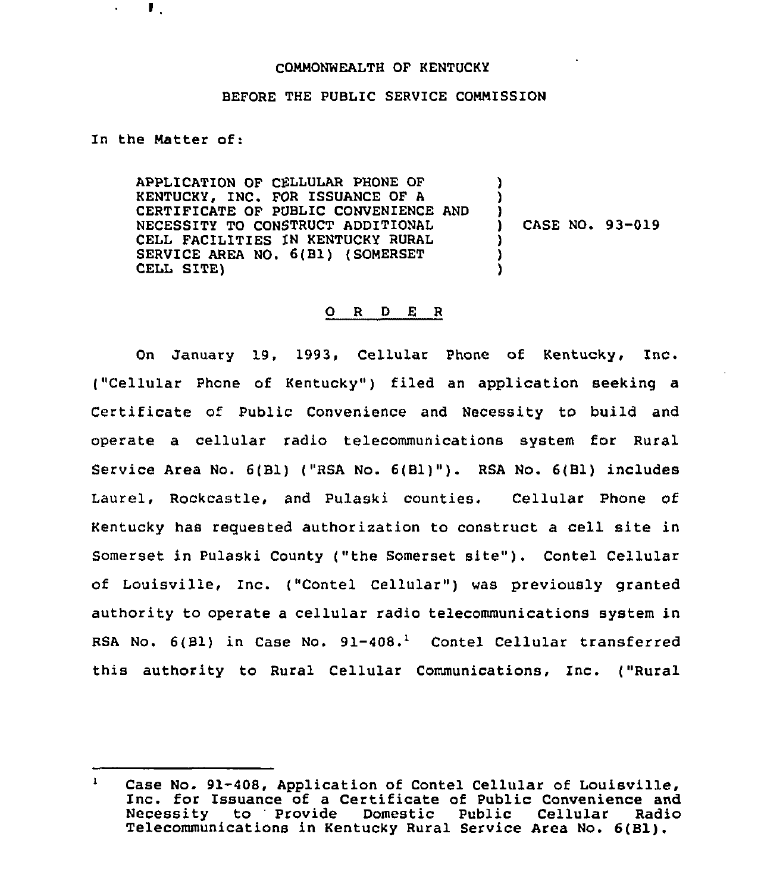## COMMONWEALTH OF KENTUCKY

## BEFORE THE PUBLIC SERVICE COMMISSION

In the Matter of:

 $\mathbf{L}$ 

 $\blacksquare$ 

APPLICATION OF CELLULAR PHONE OF KENTUCKY, INC. FOR ISSUANCE OF <sup>A</sup> CERTIFICATE OF PUBLIC CONVENIENCE AND NECESSITY TO CONSTRUCT ADDITIONAL CELL FACILITIES IN KENTUCKY RURAL SERVICE AREA NO. 6(B1) (SOMERSET CELL SITE) ) ) )<br>) ) CASE NO. 93-019 ) ) )

## 0 <sup>R</sup> <sup>D</sup> E <sup>R</sup>

On January 19, 1993, Cellular Phone of Kentucky, Inc. ("Cellular Phone of Kentucky") filed an application seeking a Certificate of Public Convenience and Necessity to build and operate a cellular radio telecommunications system for Rural Service Area No. 6(B1) ("RSA No. 6(B1)"). RSA No. 6(B1) includes Laurel, Rockcastle, and Pulaski counties. Cellular Phone of Kentucky has requested authorization to construct a cell site in Somerset in Pulaski County ("the Somerset site"). Contel Cellular of Louisville, Inc. ("Contel Cellular") was previously granted authority to operate a cellular radio telecommunications system in RSA No.  $6(B1)$  in Case No.  $91-408.^1$  Contel Cellular transferred this authority to Rural Cellular Communications, Inc. ("Rural

Case No. 91-408, Application of Contel Cellular of Louisville,<br>Inc. for Issuance of a Certificate of Public Convenience and<br>Necessity to Provide Domestic Public Cellular Radio to Provide Domestic Telecommunications in Kentucky Rural Service Area No. 6(B1).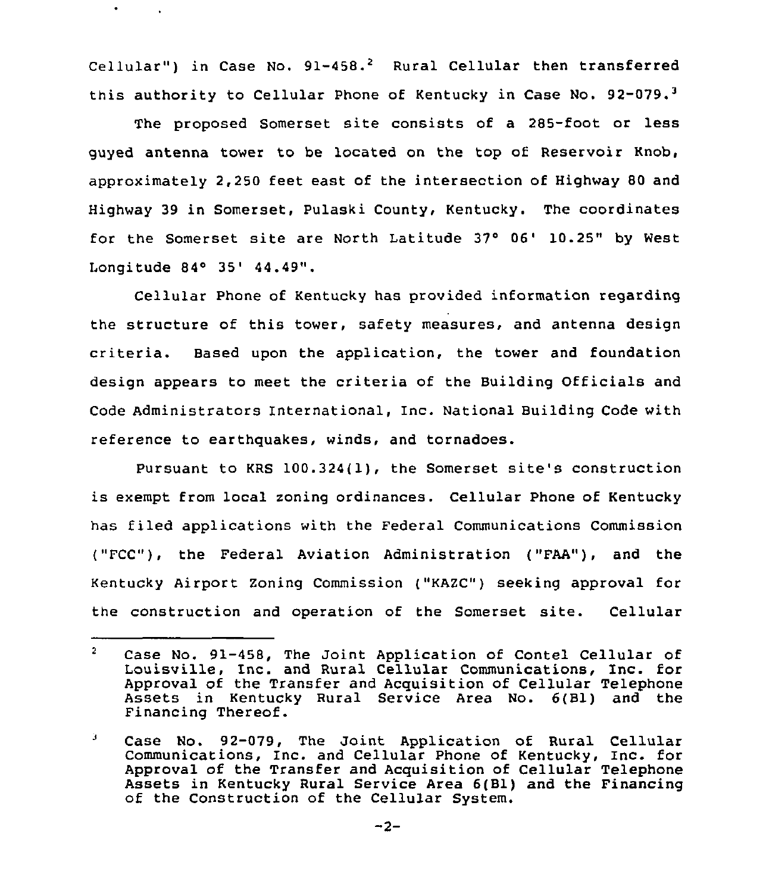Cellular") in Case No.  $91-458.^2$  Rural Cellular then transferred this authority to Cellular Phone of Kentucky in Case No.  $92-079.$ <sup>3</sup>

 $\bullet$ 

The proposed Somerset site consists of a 285-foot or less guyed antenna tower to be located on the top of Reservoir Knob, approximately 2,250 feet east of the intersection of Highway 80 and Highway 39 in Somerset, Pulaski County, Kentucky. The coordinates for the Somerset site are North Latitude 37° 06' 10.25" by West Longitude 84~ 35'4.49".

Cellular Phone of Kentucky has provided information regarding the structure of this tower, safety measures, and antenna design criteria. Based upon the application, the tower and foundation design appears to meet the criteria of the Building Officials and Code Administrators International, Inc. National Building Code with reference to earthquakes, winds, and tornadoes.

Pursuant to KRS 100.324(1), the Somerset site's construction is exempt from local zoning ordinances. Cellular Phone of Kentucky has filed applications with the Federal Communications Commission ("FCC"), the Federal Aviation Administration ("FAA"), and the Kentucky Airport Zoning Commission ("KAZC") seeking approval for the construction and operation of the Somerset site. Cellular

 $\overline{2}$ Case No. 91-458, The Joint Application of Contel Cellular of Louisville, Inc. and Rural Cellular Communications, Inc. for Approval of the Transfer and Acquisition of Cellular Telephone Assets in KentuCky Rural Service Area No. 6(B1) and the Financing Thereof.

з. Case No. 92-079, The Joint Application of Rural Cellular Communications, Inc. and Cellular Phone of Kentucky, Inc. for Approval of the Transfer and Acquisition of Cellular Telephone Assets in Kentucky Rural Service Area 6(B1) and the Financing of the Construction of the Cellular System.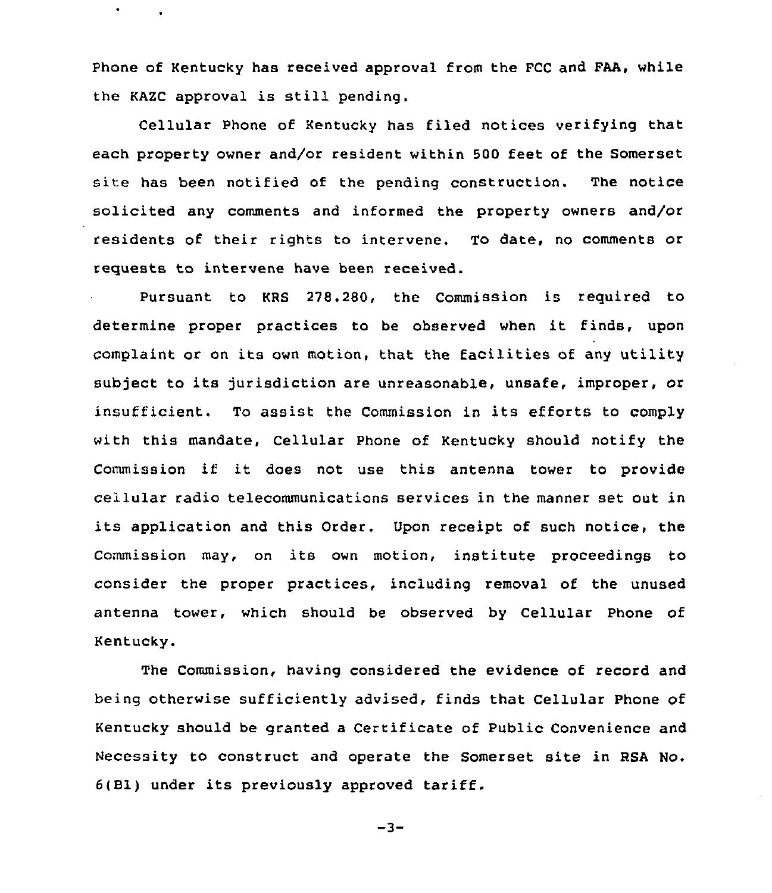Phone of Kentucky has received approval from the FCC and FAA, while the KAZC approval is still pending.

 $\bullet$ 

Cellular Phone of Kentucky has filed notices verifying that each property owner and/or resident within 500 feet of the Somerset site has been notified of the pending construction. The notice solicited any comments and informed the property owners and/or residents of their rights to intervene. To date, no comments or requests to intervene have been received.

Pursuant to KRS 278.280, the Commission is required to determine proper practices to be observed when it finds, upon complaint or on its own motion, that the facilities of any utility subject to its jurisdiction are unreasonable, unsafe, improper, or insufficient. To assist the Commission in its efforts to comply with this mandate, Cellular Phone of Kentucky should notify the Commission if it does not use this antenna tower to provide cellular radio telecommunications services in the manner set out in its application and this Order. Upon receipt of such notice, the Commission may, on its own motion, institute proceedings to consider the proper practices, including removal of the unused antenna tower, which should be observed by Cellular Phone of Kentucky.

The Commission, having considered the evidence of record and being otherwise sufficiently advised, finds that Cellular Phone of Kentucky should be granted a Certificate of Public Convenience and Necessity to construct and operate the Somerset site in RSA No. 6(81) under its previously approved tariff.

 $-3-$